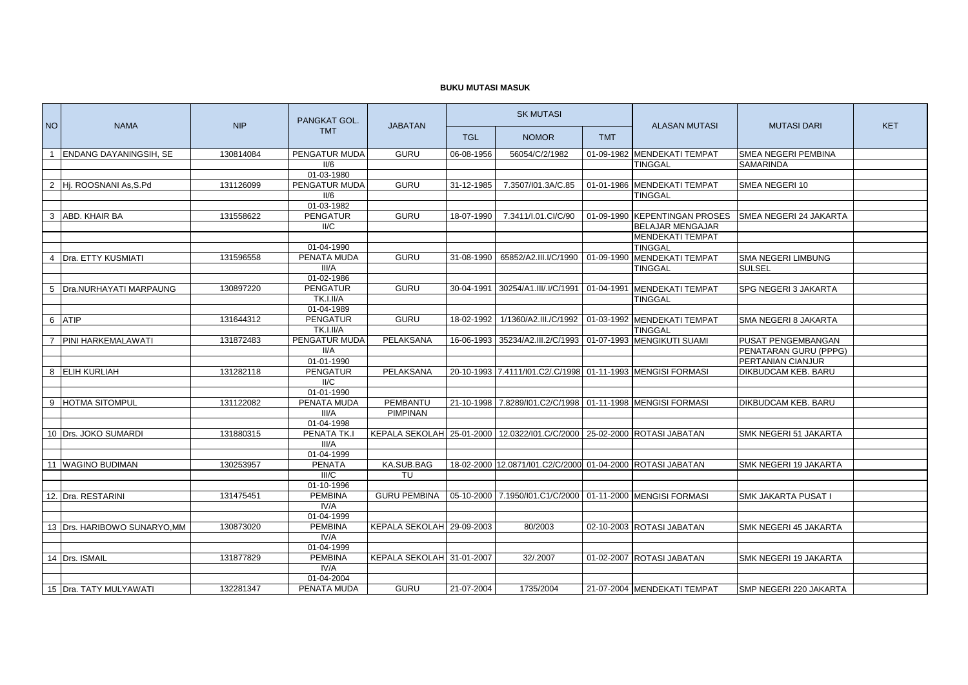## **BUKU MUTASI MASUK**

| <b>NO</b>      | <b>NAMA</b>                   | <b>NIP</b> | PANGKAT GOL.<br><b>TMT</b> | <b>JABATAN</b>            | <b>SK MUTASI</b> |                                                             |            | <b>ALASAN MUTASI</b>                                 | <b>MUTASI DARI</b>            | <b>KET</b> |
|----------------|-------------------------------|------------|----------------------------|---------------------------|------------------|-------------------------------------------------------------|------------|------------------------------------------------------|-------------------------------|------------|
|                |                               |            |                            |                           | <b>TGL</b>       | <b>NOMOR</b>                                                | <b>TMT</b> |                                                      |                               |            |
| $\overline{1}$ | <b>ENDANG DAYANINGSIH, SE</b> | 130814084  | PENGATUR MUDA              | <b>GURU</b>               | 06-08-1956       | 56054/C/2/1982                                              |            | 01-09-1982 MENDEKATI TEMPAT                          | <b>SMEA NEGERI PEMBINA</b>    |            |
|                |                               |            | II/6                       |                           |                  |                                                             |            | <b>TINGGAL</b>                                       | <b>SAMARINDA</b>              |            |
|                |                               |            | 01-03-1980                 |                           |                  |                                                             |            |                                                      |                               |            |
|                | 2 Hj. ROOSNANI As S.Pd        | 131126099  | PENGATUR MUDA              | <b>GURU</b>               | 31-12-1985       | 7.3507/I01.3A/C.85                                          |            | 01-01-1986 MENDEKATI TEMPAT                          | SMEA NEGERI 10                |            |
|                |                               |            | II/6                       |                           |                  |                                                             |            | <b>TINGGAL</b>                                       |                               |            |
|                |                               |            | 01-03-1982                 |                           |                  |                                                             |            |                                                      |                               |            |
| 3              | ABD. KHAIR BA                 | 131558622  | <b>PENGATUR</b>            | <b>GURU</b>               | 18-07-1990       | 7.3411/I.01.CI/C/90                                         |            | 01-09-1990 KEPENTINGAN PROSES                        | <b>SMEA NEGERI 24 JAKARTA</b> |            |
|                |                               |            | II/C                       |                           |                  |                                                             |            | <b>BELAJAR MENGAJAR</b><br><b>MENDEKATI TEMPAT</b>   |                               |            |
|                |                               |            | 01-04-1990                 |                           |                  |                                                             |            | <b>TINGGAL</b>                                       |                               |            |
| $\overline{4}$ | Dra. ETTY KUSMIATI            | 131596558  | PENATA MUDA                | <b>GURU</b>               | 31-08-1990       | 65852/A2.III.I/C/1990                                       |            | 01-09-1990 MENDEKATI TEMPAT                          | SMA NEGERI LIMBUNG            |            |
|                |                               |            | III/A                      |                           |                  |                                                             |            | TINGGAL                                              | <b>SULSEL</b>                 |            |
|                |                               |            | 01-02-1986                 |                           |                  |                                                             |            |                                                      |                               |            |
| 5              | Dra.NURHAYATI MARPAUNG        | 130897220  | <b>PENGATUR</b>            | <b>GURU</b>               | 30-04-1991       |                                                             |            | 30254/A1.III/.I/C/1991   01-04-1991 MENDEKATI TEMPAT | SPG NEGERI 3 JAKARTA          |            |
|                |                               |            | TK.I.II/A                  |                           |                  |                                                             |            | <b>TINGGAL</b>                                       |                               |            |
|                |                               |            | 01-04-1989                 |                           |                  |                                                             |            |                                                      |                               |            |
|                | 6 ATIP                        | 131644312  | <b>PENGATUR</b>            | GURU                      | 18-02-1992       |                                                             |            | 1/1360/A2.III./C/1992 01-03-1992 MENDEKATI TEMPAT    | SMA NEGERI 8 JAKARTA          |            |
|                |                               |            | TK.I.II/A                  |                           |                  |                                                             |            | <b>TINGGAL</b>                                       |                               |            |
|                | 7 PINI HARKEMALAWATI          | 131872483  | PENGATUR MUDA              | PELAKSANA                 | 16-06-1993       | 35234/A2.III.2/C/1993   01-07-1993 MENGIKUTI SUAMI          |            |                                                      | <b>PUSAT PENGEMBANGAN</b>     |            |
|                |                               |            | II/A                       |                           |                  |                                                             |            |                                                      | PENATARAN GURU (PPPG)         |            |
|                |                               |            | 01-01-1990                 |                           |                  |                                                             |            |                                                      | PERTANIAN CIANJUR             |            |
|                | 8 ELIH KURLIAH                | 131282118  | <b>PENGATUR</b>            | PELAKSANA                 |                  | 20-10-1993 7.4111/101.C2/ C/1998 01-11-1993 MENGISI FORMASI |            |                                                      | <b>DIKBUDCAM KEB. BARU</b>    |            |
|                |                               |            | II/C<br>01-01-1990         |                           |                  |                                                             |            |                                                      |                               |            |
|                | 9 HOTMA SITOMPUL              | 131122082  | PENATA MUDA                | <b>PEMBANTU</b>           | 21-10-1998       | 7.8289/101.C2/C/1998 01-11-1998 MENGISI FORMASI             |            |                                                      | DIKBUDCAM KEB, BARU           |            |
|                |                               |            | III/A                      | <b>PIMPINAN</b>           |                  |                                                             |            |                                                      |                               |            |
|                |                               |            | 01-04-1998                 |                           |                  |                                                             |            |                                                      |                               |            |
|                | 10 Drs. JOKO SUMARDI          | 131880315  | PENATA TK.                 | KEPALA SEKOLAH 25-01-2000 |                  | 12.0322/l01.C/C/2000 25-02-2000 ROTASI JABATAN              |            |                                                      | SMK NEGERI 51 JAKARTA         |            |
|                |                               |            | III/A                      |                           |                  |                                                             |            |                                                      |                               |            |
|                |                               |            | 01-04-1999                 |                           |                  |                                                             |            |                                                      |                               |            |
|                | 11 WAGINO BUDIMAN             | 130253957  | <b>PENATA</b>              | KA.SUB.BAG                |                  | 18-02-2000 12.0871/101.C2/C/2000 01-04-2000 ROTASI JABATAN  |            |                                                      | SMK NEGERI 19 JAKARTA         |            |
|                |                               |            | III/C                      | TU                        |                  |                                                             |            |                                                      |                               |            |
|                |                               |            | 01-10-1996                 |                           |                  |                                                             |            |                                                      |                               |            |
|                | 12. Dra. RESTARINI            | 131475451  | <b>PEMBINA</b>             | <b>GURU PEMBINA</b>       | 05-10-2000       | 7.1950/101.C1/C/2000 01-11-2000 MENGISI FORMASI             |            |                                                      | <b>SMK JAKARTA PUSAT I</b>    |            |
|                |                               |            | IV/A                       |                           |                  |                                                             |            |                                                      |                               |            |
|                |                               |            | 01-04-1999                 |                           |                  |                                                             |            |                                                      |                               |            |
|                | 13 Drs. HARIBOWO SUNARYO, MM  | 130873020  | <b>PEMBINA</b>             | KEPALA SEKOLAH 29-09-2003 |                  | 80/2003                                                     |            | 02-10-2003 ROTASI JABATAN                            | SMK NEGERI 45 JAKARTA         |            |
|                |                               |            | IV/A<br>01-04-1999         |                           |                  |                                                             |            |                                                      |                               |            |
|                | 14 Drs. ISMAIL                | 131877829  | <b>PEMBINA</b>             | KEPALA SEKOLAH 31-01-2007 |                  | 32/.2007                                                    |            | 01-02-2007 ROTASI JABATAN                            | SMK NEGERI 19 JAKARTA         |            |
|                |                               |            | IV/A                       |                           |                  |                                                             |            |                                                      |                               |            |
|                |                               |            | 01-04-2004                 |                           |                  |                                                             |            |                                                      |                               |            |
|                | 15 Dra. TATY MULYAWATI        | 132281347  | PENATA MUDA                | <b>GURU</b>               | 21-07-2004       | 1735/2004                                                   |            | 21-07-2004 MENDEKATI TEMPAT                          | <b>SMP NEGERI 220 JAKARTA</b> |            |
|                |                               |            |                            |                           |                  |                                                             |            |                                                      |                               |            |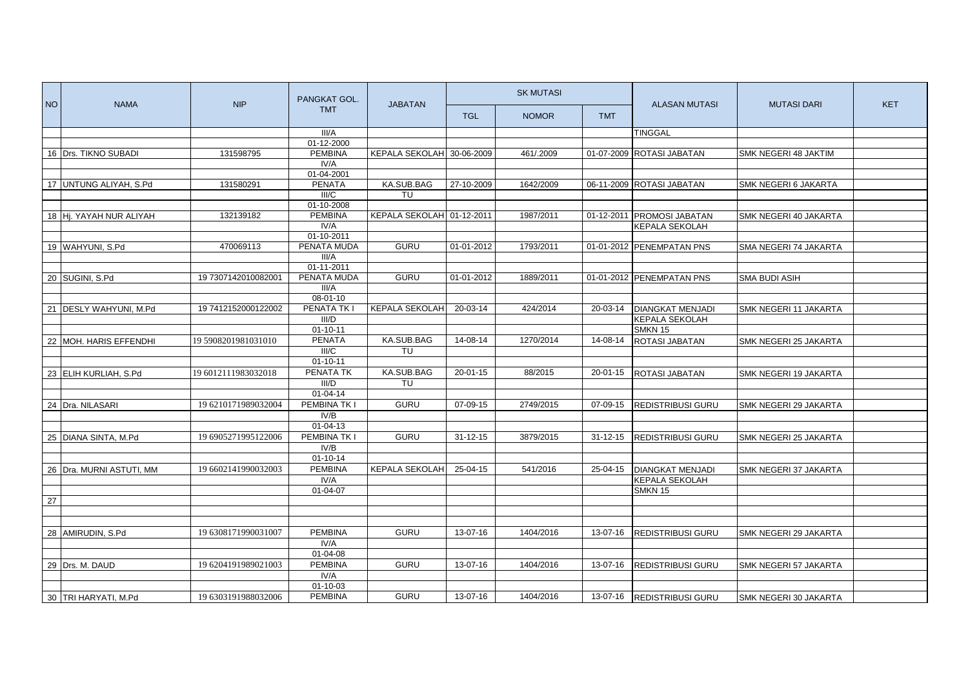| <b>NO</b> | <b>NAMA</b>              | <b>NIP</b>          | PANGKAT GOL.<br><b>TMT</b> | <b>JABATAN</b>            | <b>SK MUTASI</b> |              |                | <b>ALASAN MUTASI</b>       | <b>MUTASI DARI</b>    | <b>KET</b> |
|-----------|--------------------------|---------------------|----------------------------|---------------------------|------------------|--------------|----------------|----------------------------|-----------------------|------------|
|           |                          |                     |                            |                           | <b>TGL</b>       | <b>NOMOR</b> | <b>TMT</b>     |                            |                       |            |
|           |                          |                     | III/A                      |                           |                  |              |                | <b>TINGGAL</b>             |                       |            |
|           |                          |                     | 01-12-2000                 |                           |                  |              |                |                            |                       |            |
|           | 16 Drs. TIKNO SUBADI     | 131598795           | <b>PEMBINA</b>             | KEPALA SEKOLAH 30-06-2009 |                  | 461/.2009    |                | 01-07-2009 ROTASI JABATAN  | SMK NEGERI 48 JAKTIM  |            |
|           |                          |                     | IV/A                       |                           |                  |              |                |                            |                       |            |
|           |                          |                     | 01-04-2001                 |                           |                  |              |                |                            |                       |            |
|           | 17 UNTUNG ALIYAH, S.Pd   | 131580291           | <b>PENATA</b>              | KA.SUB.BAG                | 27-10-2009       | 1642/2009    |                | 06-11-2009 ROTASI JABATAN  | SMK NEGERI 6 JAKARTA  |            |
|           |                          |                     | III/C                      | TU                        |                  |              |                |                            |                       |            |
|           |                          |                     | 01-10-2008                 |                           |                  |              |                |                            |                       |            |
|           | 18 Hj. YAYAH NUR ALIYAH  | 132139182           | <b>PEMBINA</b>             | KEPALA SEKOLAH 01-12-2011 |                  | 1987/2011    |                | 01-12-2011 PROMOSI JABATAN | SMK NEGERI 40 JAKARTA |            |
|           |                          |                     | IV/A                       |                           |                  |              |                | <b>KEPALA SEKOLAH</b>      |                       |            |
|           |                          |                     | 01-10-2011                 |                           |                  |              |                |                            |                       |            |
|           | 19 WAHYUNI, S.Pd         | 470069113           | PENATA MUDA                | <b>GURU</b>               | 01-01-2012       | 1793/2011    |                | 01-01-2012 PENEMPATAN PNS  | SMA NEGERI 74 JAKARTA |            |
|           |                          |                     | III/A                      |                           |                  |              |                |                            |                       |            |
|           |                          |                     | 01-11-2011                 |                           |                  |              |                |                            |                       |            |
|           | 20 SUGINI, S.Pd          | 19 7307142010082001 | PENATA MUDA                | <b>GURU</b>               | 01-01-2012       | 1889/2011    |                | 01-01-2012 PENEMPATAN PNS  | <b>SMA BUDI ASIH</b>  |            |
|           |                          |                     | III/A                      |                           |                  |              |                |                            |                       |            |
|           |                          | 19 7412152000122002 | 08-01-10<br>PENATA TK I    | <b>KEPALA SEKOLAH</b>     | 20-03-14         | 424/2014     |                |                            |                       |            |
|           | 21 DESLY WAHYUNI, M.Pd   |                     | III/D                      |                           |                  |              | 20-03-14       | <b>DIANGKAT MENJADI</b>    | SMK NEGERI 11 JAKARTA |            |
|           |                          |                     | $01 - 10 - 11$             |                           |                  |              |                | KEPALA SEKOLAH<br>SMKN 15  |                       |            |
|           |                          |                     | <b>PENATA</b>              | KA.SUB.BAG                | 14-08-14         | 1270/2014    | 14-08-14       |                            |                       |            |
|           | 22 MOH. HARIS EFFENDHI   | 19 5908201981031010 | III/C                      | TU                        |                  |              |                | <b>ROTASI JABATAN</b>      | SMK NEGERI 25 JAKARTA |            |
|           |                          |                     | $01 - 10 - 11$             |                           |                  |              |                |                            |                       |            |
|           |                          | 19 6012111983032018 | PENATA TK                  | KA.SUB.BAG                | 20-01-15         | 88/2015      | 20-01-15       |                            |                       |            |
|           | 23 ELIH KURLIAH, S.Pd    |                     | III/D                      | TU                        |                  |              |                | ROTASI JABATAN             | SMK NEGERI 19 JAKARTA |            |
|           |                          |                     | $01 - 04 - 14$             |                           |                  |              |                |                            |                       |            |
|           | 24 Dra. NILASARI         | 19 6210171989032004 | PEMBINA TK I               | <b>GURU</b>               | 07-09-15         | 2749/2015    | 07-09-15       |                            |                       |            |
|           |                          |                     | IV/B                       |                           |                  |              |                | <b>REDISTRIBUSI GURU</b>   | SMK NEGERI 29 JAKARTA |            |
|           |                          |                     | $01 - 04 - 13$             |                           |                  |              |                |                            |                       |            |
|           |                          |                     | PEMBINA TK I               | <b>GURU</b>               | $31 - 12 - 15$   | 3879/2015    | $31 - 12 - 15$ |                            |                       |            |
|           | 25 DIANA SINTA, M.Pd     | 19 6905271995122006 | IV/B                       |                           |                  |              |                | REDISTRIBUSI GURU          | SMK NEGERI 25 JAKARTA |            |
|           |                          |                     | $01 - 10 - 14$             |                           |                  |              |                |                            |                       |            |
|           | 26 Dra. MURNI ASTUTI, MM | 19 6602141990032003 | <b>PEMBINA</b>             | <b>KEPALA SEKOLAH</b>     | 25-04-15         | 541/2016     | 25-04-15       | <b>DIANGKAT MENJADI</b>    |                       |            |
|           |                          |                     | IV/A                       |                           |                  |              |                | <b>KEPALA SEKOLAH</b>      | SMK NEGERI 37 JAKARTA |            |
|           |                          |                     | 01-04-07                   |                           |                  |              |                | SMKN 15                    |                       |            |
| 27        |                          |                     |                            |                           |                  |              |                |                            |                       |            |
|           |                          |                     |                            |                           |                  |              |                |                            |                       |            |
|           |                          |                     |                            |                           |                  |              |                |                            |                       |            |
|           | 28 AMIRUDIN, S.Pd        | 19 6308171990031007 | <b>PEMBINA</b>             | <b>GURU</b>               | 13-07-16         | 1404/2016    | 13-07-16       | <b>REDISTRIBUSI GURU</b>   | SMK NEGERI 29 JAKARTA |            |
|           |                          |                     | IV/A                       |                           |                  |              |                |                            |                       |            |
|           |                          |                     | 01-04-08                   |                           |                  |              |                |                            |                       |            |
|           | 29 Drs. M. DAUD          | 19 6204191989021003 | <b>PEMBINA</b>             | <b>GURU</b>               | 13-07-16         | 1404/2016    | 13-07-16       | <b>REDISTRIBUSI GURU</b>   | SMK NEGERI 57 JAKARTA |            |
|           |                          |                     | IV/A                       |                           |                  |              |                |                            |                       |            |
|           |                          |                     | 01-10-03                   |                           |                  |              |                |                            |                       |            |
|           | 30 TRI HARYATI, M.Pd     | 19 6303191988032006 | <b>PEMBINA</b>             | <b>GURU</b>               | 13-07-16         | 1404/2016    |                | 13-07-16 REDISTRIBUSI GURU |                       |            |
|           |                          |                     |                            |                           |                  |              |                |                            | SMK NEGERI 30 JAKARTA |            |